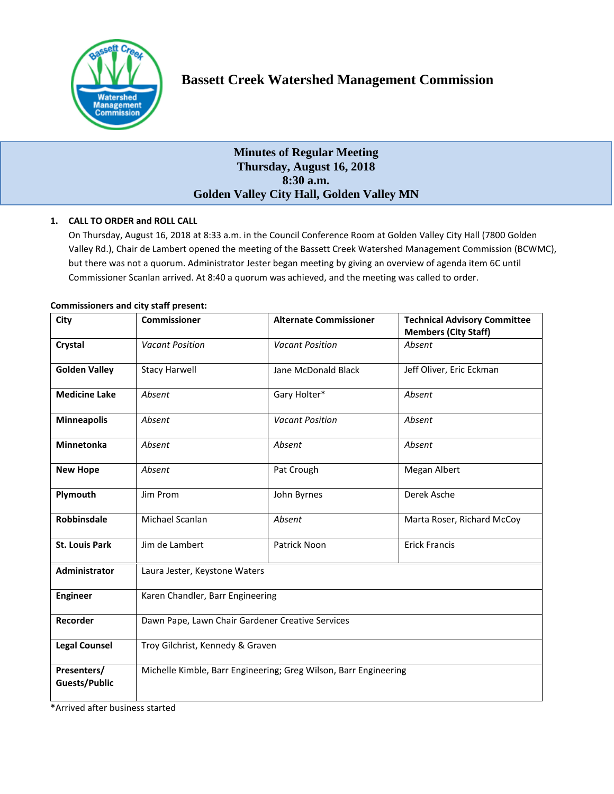

# **Bassett Creek Watershed Management Commission**

# **Minutes of Regular Meeting Thursday, August 16, 2018 8:30 a.m. Golden Valley City Hall, Golden Valley MN**

# **1. CALL TO ORDER and ROLL CALL**

On Thursday, August 16, 2018 at 8:33 a.m. in the Council Conference Room at Golden Valley City Hall (7800 Golden Valley Rd.), Chair de Lambert opened the meeting of the Bassett Creek Watershed Management Commission (BCWMC), but there was not a quorum. Administrator Jester began meeting by giving an overview of agenda item 6C until Commissioner Scanlan arrived. At 8:40 a quorum was achieved, and the meeting was called to order.

| City                                | <b>Commissioner</b>                                              | <b>Alternate Commissioner</b> | <b>Technical Advisory Committee</b><br><b>Members (City Staff)</b> |
|-------------------------------------|------------------------------------------------------------------|-------------------------------|--------------------------------------------------------------------|
| Crystal                             | <b>Vacant Position</b>                                           | <b>Vacant Position</b>        | Absent                                                             |
| <b>Golden Valley</b>                | <b>Stacy Harwell</b>                                             | Jane McDonald Black           | Jeff Oliver, Eric Eckman                                           |
| <b>Medicine Lake</b>                | Absent                                                           | Gary Holter*                  | Absent                                                             |
| <b>Minneapolis</b>                  | Absent                                                           | <b>Vacant Position</b>        | Absent                                                             |
| <b>Minnetonka</b>                   | Absent                                                           | Absent                        | Absent                                                             |
| <b>New Hope</b>                     | Absent                                                           | Pat Crough                    | Megan Albert                                                       |
| Plymouth                            | Jim Prom                                                         | John Byrnes                   | Derek Asche                                                        |
| <b>Robbinsdale</b>                  | Michael Scanlan                                                  | Absent                        | Marta Roser, Richard McCoy                                         |
| <b>St. Louis Park</b>               | Jim de Lambert                                                   | Patrick Noon                  | <b>Erick Francis</b>                                               |
| Administrator                       | Laura Jester, Keystone Waters                                    |                               |                                                                    |
| <b>Engineer</b>                     | Karen Chandler, Barr Engineering                                 |                               |                                                                    |
| Recorder                            | Dawn Pape, Lawn Chair Gardener Creative Services                 |                               |                                                                    |
| <b>Legal Counsel</b>                | Troy Gilchrist, Kennedy & Graven                                 |                               |                                                                    |
| Presenters/<br><b>Guests/Public</b> | Michelle Kimble, Barr Engineering; Greg Wilson, Barr Engineering |                               |                                                                    |

### **Commissioners and city staff present:**

\*Arrived after business started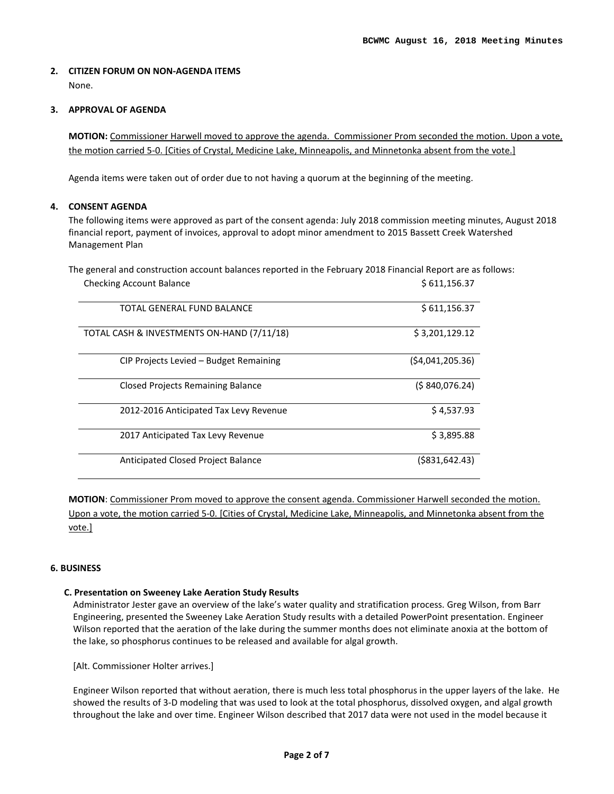## **2. CITIZEN FORUM ON NON-AGENDA ITEMS**  None.

### **3. APPROVAL OF AGENDA**

**MOTION:** Commissioner Harwell moved to approve the agenda. Commissioner Prom seconded the motion. Upon a vote, the motion carried 5-0. [Cities of Crystal, Medicine Lake, Minneapolis, and Minnetonka absent from the vote.]

Agenda items were taken out of order due to not having a quorum at the beginning of the meeting.

## **4. CONSENT AGENDA**

The following items were approved as part of the consent agenda: July 2018 commission meeting minutes, August 2018 financial report, payment of invoices, approval to adopt minor amendment to 2015 Bassett Creek Watershed Management Plan

The general and construction account balances reported in the February 2018 Financial Report are as follows: Checking Account Balance **\$ 611,156.37** 

| TOTAL GENERAL FUND BALANCE                 | \$611,156.37         |
|--------------------------------------------|----------------------|
|                                            |                      |
| TOTAL CASH & INVESTMENTS ON-HAND (7/11/18) | \$3,201,129.12       |
| CIP Projects Levied - Budget Remaining     | (\$4,041,205.36)     |
| <b>Closed Projects Remaining Balance</b>   | (5840,076.24)        |
| 2012-2016 Anticipated Tax Levy Revenue     | \$4,537.93           |
| 2017 Anticipated Tax Levy Revenue          | \$3,895.88           |
| Anticipated Closed Project Balance         | $($ \$831,642.43 $)$ |

**MOTION**: Commissioner Prom moved to approve the consent agenda. Commissioner Harwell seconded the motion. Upon a vote, the motion carried 5-0. [Cities of Crystal, Medicine Lake, Minneapolis, and Minnetonka absent from the vote.]

### **6. BUSINESS**

### **C. Presentation on Sweeney Lake Aeration Study Results**

Administrator Jester gave an overview of the lake's water quality and stratification process. Greg Wilson, from Barr Engineering, presented the Sweeney Lake Aeration Study results with a detailed PowerPoint presentation. Engineer Wilson reported that the aeration of the lake during the summer months does not eliminate anoxia at the bottom of the lake, so phosphorus continues to be released and available for algal growth.

[Alt. Commissioner Holter arrives.]

Engineer Wilson reported that without aeration, there is much less total phosphorus in the upper layers of the lake. He showed the results of 3-D modeling that was used to look at the total phosphorus, dissolved oxygen, and algal growth throughout the lake and over time. Engineer Wilson described that 2017 data were not used in the model because it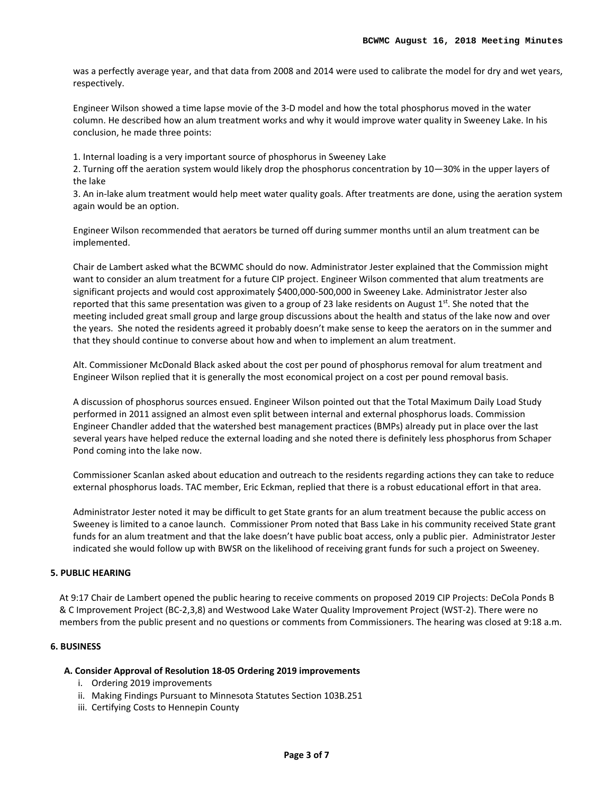was a perfectly average year, and that data from 2008 and 2014 were used to calibrate the model for dry and wet years, respectively.

Engineer Wilson showed a time lapse movie of the 3-D model and how the total phosphorus moved in the water column. He described how an alum treatment works and why it would improve water quality in Sweeney Lake. In his conclusion, he made three points:

1. Internal loading is a very important source of phosphorus in Sweeney Lake

2. Turning off the aeration system would likely drop the phosphorus concentration by 10—30% in the upper layers of the lake

3. An in-lake alum treatment would help meet water quality goals. After treatments are done, using the aeration system again would be an option.

Engineer Wilson recommended that aerators be turned off during summer months until an alum treatment can be implemented.

Chair de Lambert asked what the BCWMC should do now. Administrator Jester explained that the Commission might want to consider an alum treatment for a future CIP project. Engineer Wilson commented that alum treatments are significant projects and would cost approximately \$400,000-500,000 in Sweeney Lake. Administrator Jester also reported that this same presentation was given to a group of 23 lake residents on August  $1<sup>st</sup>$ . She noted that the meeting included great small group and large group discussions about the health and status of the lake now and over the years. She noted the residents agreed it probably doesn't make sense to keep the aerators on in the summer and that they should continue to converse about how and when to implement an alum treatment.

Alt. Commissioner McDonald Black asked about the cost per pound of phosphorus removal for alum treatment and Engineer Wilson replied that it is generally the most economical project on a cost per pound removal basis.

A discussion of phosphorus sources ensued. Engineer Wilson pointed out that the Total Maximum Daily Load Study performed in 2011 assigned an almost even split between internal and external phosphorus loads. Commission Engineer Chandler added that the watershed best management practices (BMPs) already put in place over the last several years have helped reduce the external loading and she noted there is definitely less phosphorus from Schaper Pond coming into the lake now.

Commissioner Scanlan asked about education and outreach to the residents regarding actions they can take to reduce external phosphorus loads. TAC member, Eric Eckman, replied that there is a robust educational effort in that area.

Administrator Jester noted it may be difficult to get State grants for an alum treatment because the public access on Sweeney is limited to a canoe launch. Commissioner Prom noted that Bass Lake in his community received State grant funds for an alum treatment and that the lake doesn't have public boat access, only a public pier. Administrator Jester indicated she would follow up with BWSR on the likelihood of receiving grant funds for such a project on Sweeney.

### **5. PUBLIC HEARING**

At 9:17 Chair de Lambert opened the public hearing to receive comments on proposed 2019 CIP Projects: DeCola Ponds B & C Improvement Project (BC-2,3,8) and Westwood Lake Water Quality Improvement Project (WST-2). There were no members from the public present and no questions or comments from Commissioners. The hearing was closed at 9:18 a.m.

### **6. BUSINESS**

### **A. Consider Approval of Resolution 18-05 Ordering 2019 improvements**

- i. Ordering 2019 improvements
- ii. Making Findings Pursuant to Minnesota Statutes Section 103B.251
- iii. Certifying Costs to Hennepin County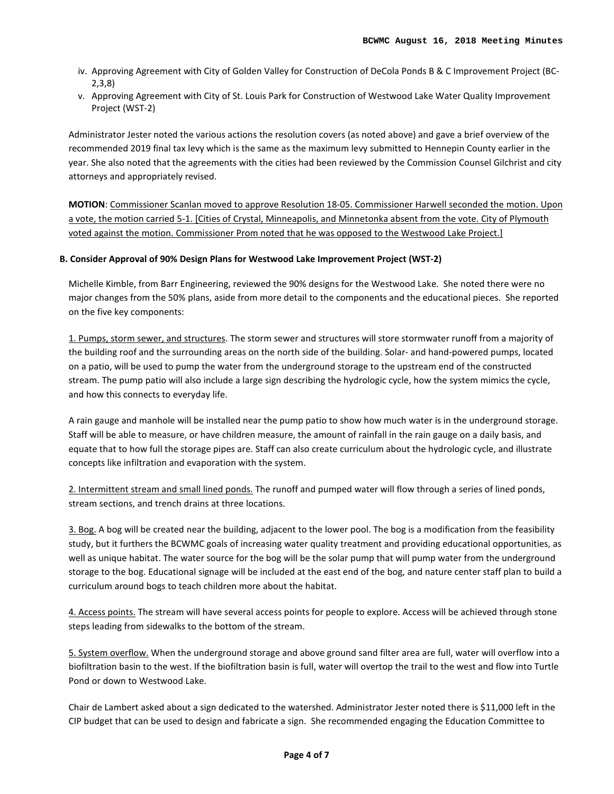- iv. Approving Agreement with City of Golden Valley for Construction of DeCola Ponds B & C Improvement Project (BC-2,3,8)
- v. Approving Agreement with City of St. Louis Park for Construction of Westwood Lake Water Quality Improvement Project (WST-2)

Administrator Jester noted the various actions the resolution covers (as noted above) and gave a brief overview of the recommended 2019 final tax levy which is the same as the maximum levy submitted to Hennepin County earlier in the year. She also noted that the agreements with the cities had been reviewed by the Commission Counsel Gilchrist and city attorneys and appropriately revised.

**MOTION**: Commissioner Scanlan moved to approve Resolution 18-05. Commissioner Harwell seconded the motion. Upon a vote, the motion carried 5-1. [Cities of Crystal, Minneapolis, and Minnetonka absent from the vote. City of Plymouth voted against the motion. Commissioner Prom noted that he was opposed to the Westwood Lake Project.]

# **B. Consider Approval of 90% Design Plans for Westwood Lake Improvement Project (WST-2)**

Michelle Kimble, from Barr Engineering, reviewed the 90% designs for the Westwood Lake. She noted there were no major changes from the 50% plans, aside from more detail to the components and the educational pieces. She reported on the five key components:

1. Pumps, storm sewer, and structures. The storm sewer and structures will store stormwater runoff from a majority of the building roof and the surrounding areas on the north side of the building. Solar- and hand-powered pumps, located on a patio, will be used to pump the water from the underground storage to the upstream end of the constructed stream. The pump patio will also include a large sign describing the hydrologic cycle, how the system mimics the cycle, and how this connects to everyday life.

A rain gauge and manhole will be installed near the pump patio to show how much water is in the underground storage. Staff will be able to measure, or have children measure, the amount of rainfall in the rain gauge on a daily basis, and equate that to how full the storage pipes are. Staff can also create curriculum about the hydrologic cycle, and illustrate concepts like infiltration and evaporation with the system.

2. Intermittent stream and small lined ponds. The runoff and pumped water will flow through a series of lined ponds, stream sections, and trench drains at three locations.

3. Bog. A bog will be created near the building, adjacent to the lower pool. The bog is a modification from the feasibility study, but it furthers the BCWMC goals of increasing water quality treatment and providing educational opportunities, as well as unique habitat. The water source for the bog will be the solar pump that will pump water from the underground storage to the bog. Educational signage will be included at the east end of the bog, and nature center staff plan to build a curriculum around bogs to teach children more about the habitat.

4. Access points. The stream will have several access points for people to explore. Access will be achieved through stone steps leading from sidewalks to the bottom of the stream.

5. System overflow. When the underground storage and above ground sand filter area are full, water will overflow into a biofiltration basin to the west. If the biofiltration basin is full, water will overtop the trail to the west and flow into Turtle Pond or down to Westwood Lake.

Chair de Lambert asked about a sign dedicated to the watershed. Administrator Jester noted there is \$11,000 left in the CIP budget that can be used to design and fabricate a sign. She recommended engaging the Education Committee to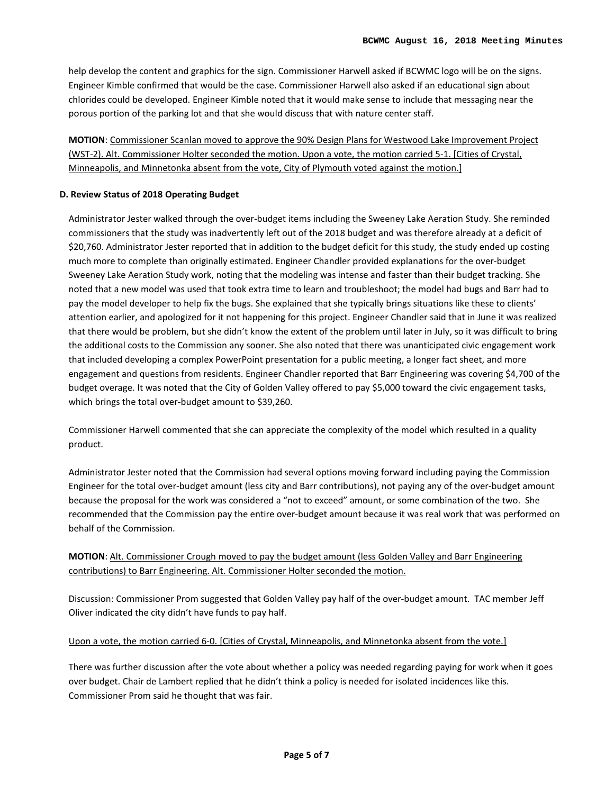help develop the content and graphics for the sign. Commissioner Harwell asked if BCWMC logo will be on the signs. Engineer Kimble confirmed that would be the case. Commissioner Harwell also asked if an educational sign about chlorides could be developed. Engineer Kimble noted that it would make sense to include that messaging near the porous portion of the parking lot and that she would discuss that with nature center staff.

**MOTION**: Commissioner Scanlan moved to approve the 90% Design Plans for Westwood Lake Improvement Project (WST-2). Alt. Commissioner Holter seconded the motion. Upon a vote, the motion carried 5-1. [Cities of Crystal, Minneapolis, and Minnetonka absent from the vote, City of Plymouth voted against the motion.]

# **D. Review Status of 2018 Operating Budget**

Administrator Jester walked through the over-budget items including the Sweeney Lake Aeration Study. She reminded commissioners that the study was inadvertently left out of the 2018 budget and was therefore already at a deficit of \$20,760. Administrator Jester reported that in addition to the budget deficit for this study, the study ended up costing much more to complete than originally estimated. Engineer Chandler provided explanations for the over-budget Sweeney Lake Aeration Study work, noting that the modeling was intense and faster than their budget tracking. She noted that a new model was used that took extra time to learn and troubleshoot; the model had bugs and Barr had to pay the model developer to help fix the bugs. She explained that she typically brings situations like these to clients' attention earlier, and apologized for it not happening for this project. Engineer Chandler said that in June it was realized that there would be problem, but she didn't know the extent of the problem until later in July, so it was difficult to bring the additional costs to the Commission any sooner. She also noted that there was unanticipated civic engagement work that included developing a complex PowerPoint presentation for a public meeting, a longer fact sheet, and more engagement and questions from residents. Engineer Chandler reported that Barr Engineering was covering \$4,700 of the budget overage. It was noted that the City of Golden Valley offered to pay \$5,000 toward the civic engagement tasks, which brings the total over-budget amount to \$39,260.

Commissioner Harwell commented that she can appreciate the complexity of the model which resulted in a quality product.

Administrator Jester noted that the Commission had several options moving forward including paying the Commission Engineer for the total over-budget amount (less city and Barr contributions), not paying any of the over-budget amount because the proposal for the work was considered a "not to exceed" amount, or some combination of the two. She recommended that the Commission pay the entire over-budget amount because it was real work that was performed on behalf of the Commission.

# **MOTION**: Alt. Commissioner Crough moved to pay the budget amount (less Golden Valley and Barr Engineering contributions) to Barr Engineering. Alt. Commissioner Holter seconded the motion.

Discussion: Commissioner Prom suggested that Golden Valley pay half of the over-budget amount. TAC member Jeff Oliver indicated the city didn't have funds to pay half.

# Upon a vote, the motion carried 6-0. [Cities of Crystal, Minneapolis, and Minnetonka absent from the vote.]

There was further discussion after the vote about whether a policy was needed regarding paying for work when it goes over budget. Chair de Lambert replied that he didn't think a policy is needed for isolated incidences like this. Commissioner Prom said he thought that was fair.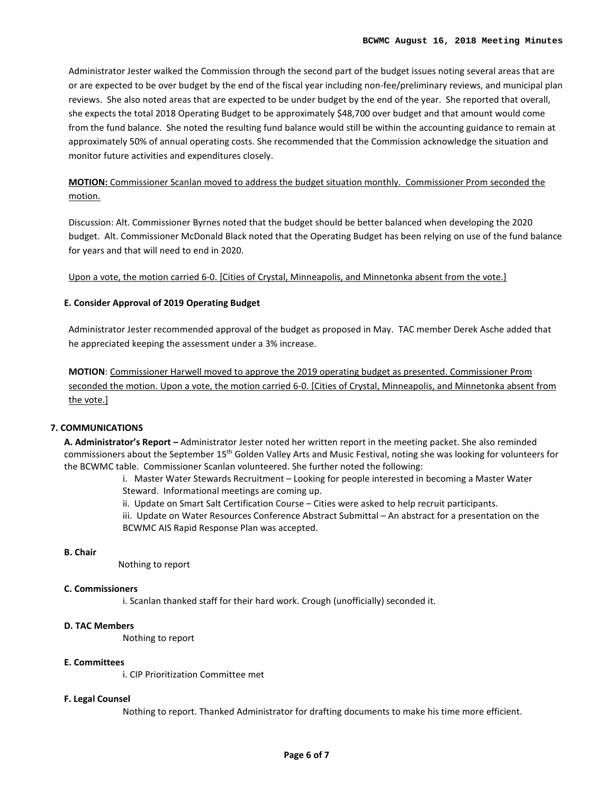Administrator Jester walked the Commission through the second part of the budget issues noting several areas that are or are expected to be over budget by the end of the fiscal year including non-fee/preliminary reviews, and municipal plan reviews. She also noted areas that are expected to be under budget by the end of the year. She reported that overall, she expects the total 2018 Operating Budget to be approximately \$48,700 over budget and that amount would come from the fund balance. She noted the resulting fund balance would still be within the accounting guidance to remain at approximately 50% of annual operating costs. She recommended that the Commission acknowledge the situation and monitor future activities and expenditures closely.

# **MOTION:** Commissioner Scanlan moved to address the budget situation monthly. Commissioner Prom seconded the motion.

Discussion: Alt. Commissioner Byrnes noted that the budget should be better balanced when developing the 2020 budget. Alt. Commissioner McDonald Black noted that the Operating Budget has been relying on use of the fund balance for years and that will need to end in 2020.

Upon a vote, the motion carried 6-0. [Cities of Crystal, Minneapolis, and Minnetonka absent from the vote.]

# **E. Consider Approval of 2019 Operating Budget**

Administrator Jester recommended approval of the budget as proposed in May. TAC member Derek Asche added that he appreciated keeping the assessment under a 3% increase.

**MOTION**: Commissioner Harwell moved to approve the 2019 operating budget as presented. Commissioner Prom seconded the motion. Upon a vote, the motion carried 6-0. [Cities of Crystal, Minneapolis, and Minnetonka absent from the vote.]

# **7. COMMUNICATIONS**

**A. Administrator's Report –** Administrator Jester noted her written report in the meeting packet. She also reminded commissioners about the September 15<sup>th</sup> Golden Valley Arts and Music Festival, noting she was looking for volunteers for the BCWMC table. Commissioner Scanlan volunteered. She further noted the following:

> i. Master Water Stewards Recruitment – Looking for people interested in becoming a Master Water Steward. Informational meetings are coming up.

ii. Update on Smart Salt Certification Course – Cities were asked to help recruit participants.

iii. Update on Water Resources Conference Abstract Submittal – An abstract for a presentation on the BCWMC AIS Rapid Response Plan was accepted.

### **B. Chair**

Nothing to report

## **C. Commissioners**

i. Scanlan thanked staff for their hard work. Crough (unofficially) seconded it.

# **D. TAC Members**

Nothing to report

## **E. Committees**

i. CIP Prioritization Committee met

### **F. Legal Counsel**

Nothing to report. Thanked Administrator for drafting documents to make his time more efficient.